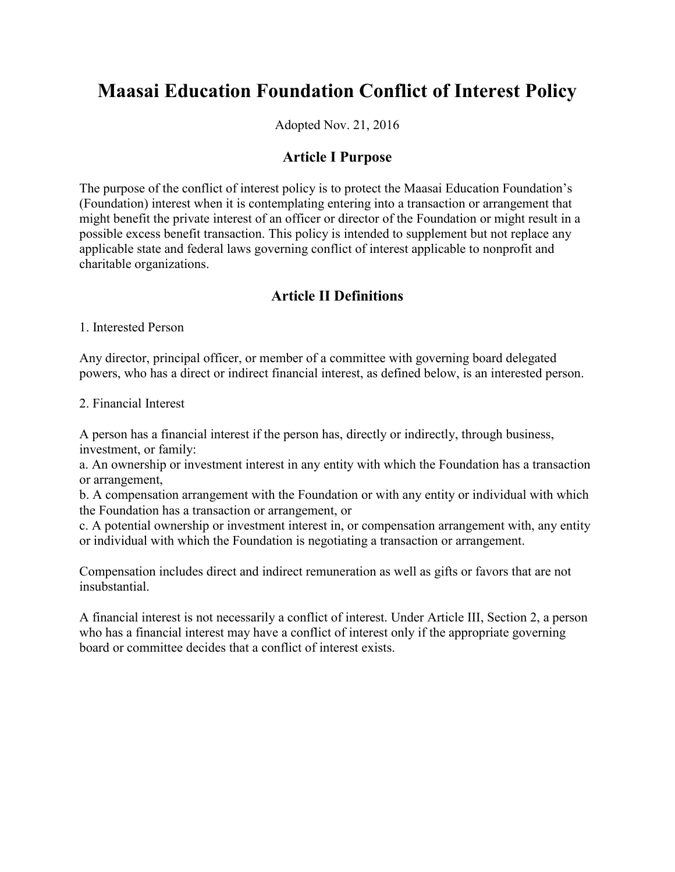# **Maasai Education Foundation Conflict of Interest Policy**

Adopted Nov. 21, 2016

#### **Article I Purpose**

The purpose of the conflict of interest policy is to protect the Maasai Education Foundation's (Foundation) interest when it is contemplating entering into a transaction or arrangement that might benefit the private interest of an officer or director of the Foundation or might result in a possible excess benefit transaction. This policy is intended to supplement but not replace any applicable state and federal laws governing conflict of interest applicable to nonprofit and charitable organizations.

# **Article II Definitions**

1. Interested Person

Any director, principal officer, or member of a committee with governing board delegated powers, who has a direct or indirect financial interest, as defined below, is an interested person.

2. Financial Interest

A person has a financial interest if the person has, directly or indirectly, through business, investment, or family:

a. An ownership or investment interest in any entity with which the Foundation has a transaction or arrangement,

b. A compensation arrangement with the Foundation or with any entity or individual with which the Foundation has a transaction or arrangement, or

c. A potential ownership or investment interest in, or compensation arrangement with, any entity or individual with which the Foundation is negotiating a transaction or arrangement.

Compensation includes direct and indirect remuneration as well as gifts or favors that are not insubstantial.

A financial interest is not necessarily a conflict of interest. Under Article III, Section 2, a person who has a financial interest may have a conflict of interest only if the appropriate governing board or committee decides that a conflict of interest exists.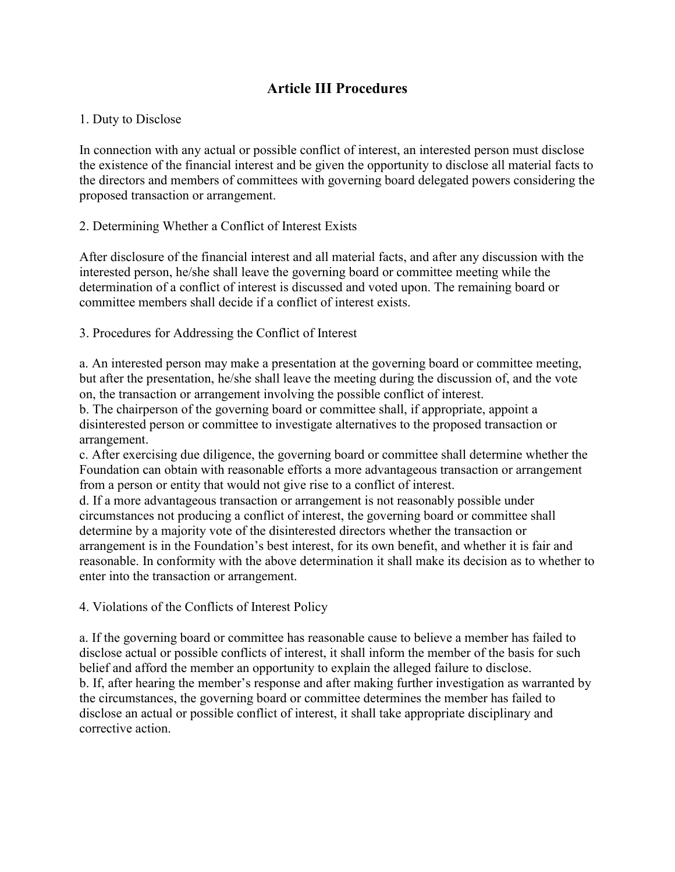# **Article III Procedures**

#### 1. Duty to Disclose

In connection with any actual or possible conflict of interest, an interested person must disclose the existence of the financial interest and be given the opportunity to disclose all material facts to the directors and members of committees with governing board delegated powers considering the proposed transaction or arrangement.

#### 2. Determining Whether a Conflict of Interest Exists

After disclosure of the financial interest and all material facts, and after any discussion with the interested person, he/she shall leave the governing board or committee meeting while the determination of a conflict of interest is discussed and voted upon. The remaining board or committee members shall decide if a conflict of interest exists.

3. Procedures for Addressing the Conflict of Interest

a. An interested person may make a presentation at the governing board or committee meeting, but after the presentation, he/she shall leave the meeting during the discussion of, and the vote on, the transaction or arrangement involving the possible conflict of interest.

b. The chairperson of the governing board or committee shall, if appropriate, appoint a disinterested person or committee to investigate alternatives to the proposed transaction or arrangement.

c. After exercising due diligence, the governing board or committee shall determine whether the Foundation can obtain with reasonable efforts a more advantageous transaction or arrangement from a person or entity that would not give rise to a conflict of interest.

d. If a more advantageous transaction or arrangement is not reasonably possible under circumstances not producing a conflict of interest, the governing board or committee shall determine by a majority vote of the disinterested directors whether the transaction or arrangement is in the Foundation's best interest, for its own benefit, and whether it is fair and reasonable. In conformity with the above determination it shall make its decision as to whether to enter into the transaction or arrangement.

4. Violations of the Conflicts of Interest Policy

a. If the governing board or committee has reasonable cause to believe a member has failed to disclose actual or possible conflicts of interest, it shall inform the member of the basis for such belief and afford the member an opportunity to explain the alleged failure to disclose. b. If, after hearing the member's response and after making further investigation as warranted by the circumstances, the governing board or committee determines the member has failed to disclose an actual or possible conflict of interest, it shall take appropriate disciplinary and corrective action.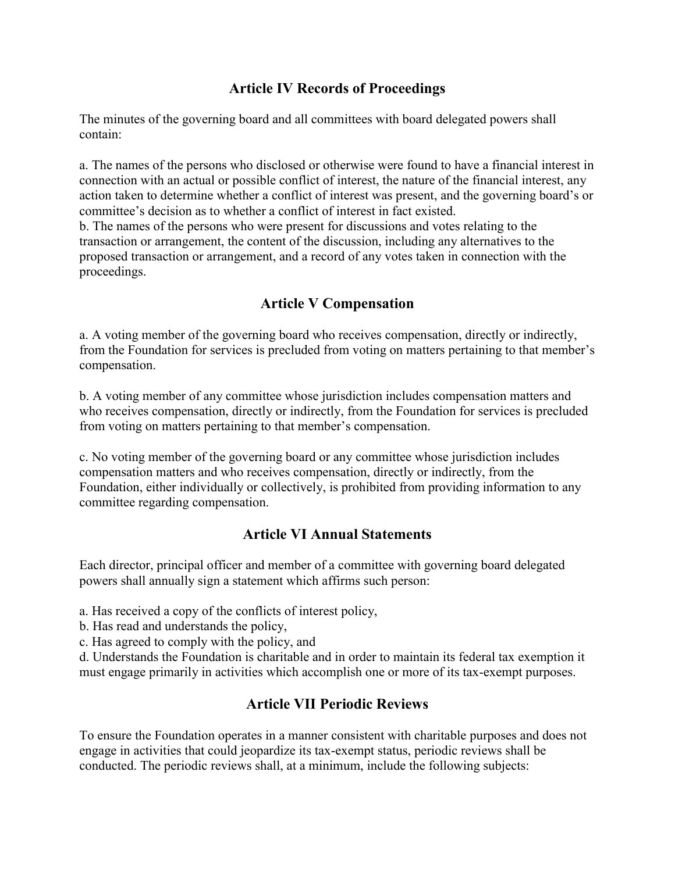# **Article IV Records of Proceedings**

The minutes of the governing board and all committees with board delegated powers shall contain:

a. The names of the persons who disclosed or otherwise were found to have a financial interest in connection with an actual or possible conflict of interest, the nature of the financial interest, any action taken to determine whether a conflict of interest was present, and the governing board's or committee's decision as to whether a conflict of interest in fact existed.

b. The names of the persons who were present for discussions and votes relating to the transaction or arrangement, the content of the discussion, including any alternatives to the proposed transaction or arrangement, and a record of any votes taken in connection with the proceedings.

# **Article V Compensation**

a. A voting member of the governing board who receives compensation, directly or indirectly, from the Foundation for services is precluded from voting on matters pertaining to that member's compensation.

b. A voting member of any committee whose jurisdiction includes compensation matters and who receives compensation, directly or indirectly, from the Foundation for services is precluded from voting on matters pertaining to that member's compensation.

c. No voting member of the governing board or any committee whose jurisdiction includes compensation matters and who receives compensation, directly or indirectly, from the Foundation, either individually or collectively, is prohibited from providing information to any committee regarding compensation.

#### **Article VI Annual Statements**

Each director, principal officer and member of a committee with governing board delegated powers shall annually sign a statement which affirms such person:

- a. Has received a copy of the conflicts of interest policy,
- b. Has read and understands the policy,
- c. Has agreed to comply with the policy, and

d. Understands the Foundation is charitable and in order to maintain its federal tax exemption it must engage primarily in activities which accomplish one or more of its tax-exempt purposes.

# **Article VII Periodic Reviews**

To ensure the Foundation operates in a manner consistent with charitable purposes and does not engage in activities that could jeopardize its tax-exempt status, periodic reviews shall be conducted. The periodic reviews shall, at a minimum, include the following subjects: